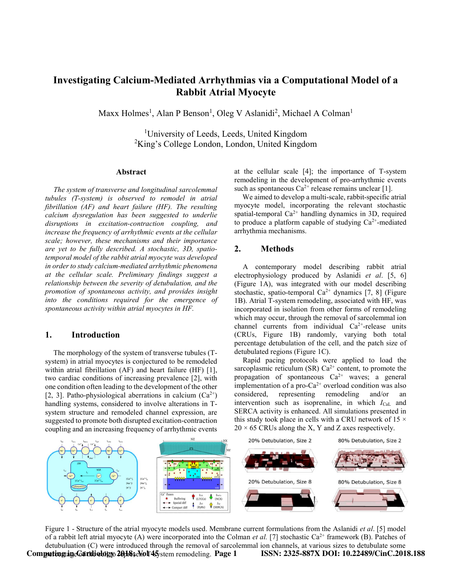# Investigating Calcium-Mediated Arrhythmias via a Computational Model of a Rabbit Atrial Myocyte

Maxx Holmes<sup>1</sup>, Alan P Benson<sup>1</sup>, Oleg V Aslanidi<sup>2</sup>, Michael A Colman<sup>1</sup>

<sup>1</sup>University of Leeds, Leeds, United Kingdom  ${}^{2}$ King's College London, London, United Kingdom

#### Abstract

The system of transverse and longitudinal sarcolemmal tubules (T-system) is observed to remodel in atrial fibrillation (AF) and heart failure (HF). The resulting calcium dysregulation has been suggested to underlie disruptions in excitation-contraction coupling, and increase the frequency of arrhythmic events at the cellular scale; however, these mechanisms and their importance are yet to be fully described. A stochastic, 3D, spatiotemporal model of the rabbit atrial myocyte was developed in order to study calcium-mediated arrhythmic phenomena at the cellular scale. Preliminary findings suggest a relationship between the severity of detubulation, and the promotion of spontaneous activity, and provides insight into the conditions required for the emergence of spontaneous activity within atrial myocytes in HF.

#### 1. Introduction

The morphology of the system of transverse tubules (Tsystem) in atrial myocytes is conjectured to be remodeled within atrial fibrillation (AF) and heart failure (HF) [1], two cardiac conditions of increasing prevalence [2], with one condition often leading to the development of the other [2, 3]. Patho-physiological aberrations in calcium  $(Ca^{2+})$ handling systems, considered to involve alterations in Tsystem structure and remodeled channel expression, are suggested to promote both disrupted excitation-contraction coupling and an increasing frequency of arrhythmic events at the cellular scale [4]; the importance of T-system remodeling in the development of pro-arrhythmic events such as spontaneous  $Ca^{2+}$  release remains unclear [1].

We aimed to develop a multi-scale, rabbit-specific atrial myocyte model, incorporating the relevant stochastic spatial-temporal  $Ca^{2+}$  handling dynamics in 3D, required to produce a platform capable of studying  $Ca^{2+}$ -mediated arrhythmia mechanisms.

# 2. Methods

A contemporary model describing rabbit atrial electrophysiology produced by Aslanidi et al. [5, 6] (Figure 1A), was integrated with our model describing stochastic, spatio-temporal  $Ca^{2+}$  dynamics [7, 8] (Figure 1B). Atrial T-system remodeling, associated with HF, was incorporated in isolation from other forms of remodeling which may occur, through the removal of sarcolemmal ion channel currents from individual  $Ca^{2+}$ -release units (CRUs, Figure 1B) randomly, varying both total percentage detubulation of the cell, and the patch size of detubulated regions (Figure 1C).

Rapid pacing protocols were applied to load the sarcoplasmic reticulum (SR)  $Ca^{2+}$  content, to promote the propagation of spontaneous  $Ca^{2+}$  waves; a general implementation of a pro- $Ca^{2+}$  overload condition was also considered, representing remodeling and/or an intervention such as isoprenaline, in which  $I_{\text{Cal}}$  and SERCA activity is enhanced. All simulations presented in this study took place in cells with a CRU network of 15  $\times$  $20 \times 65$  CRUs along the X, Y and Z axes respectively.

20% Detubulation, Size 2

80% Detubulation, Size 2



Figure 1 - Structure of the atrial myocyte models used. Membrane current formulations from the Aslanidi et al. [5] model of a rabbit left atrial myocyte (A) were incorporated into the Colman *et al.* [7] stochastic  $Ca^{2+}$  framework (B). Patches of detubuluation (C) were introduced through the removal of sarcolemmal ion channels, at various sizes to detubulate some Computing in Cardiology  $20.18$ ; Vol 45 stem remodeling. Page 1 ISSN:  $2325-887X$  DOI: 10.22489/CinC.2018.188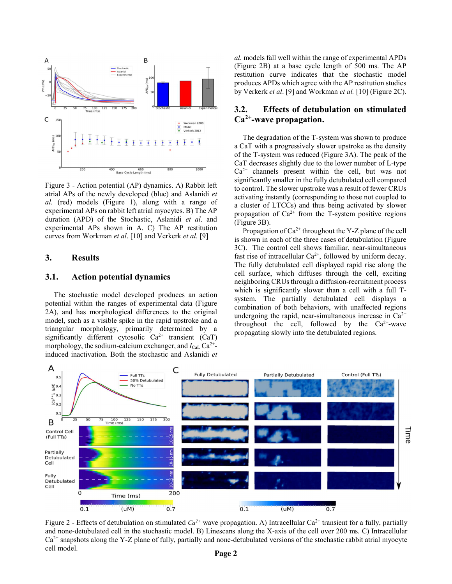

Figure 3 - Action potential (AP) dynamics. A) Rabbit left atrial APs of the newly developed (blue) and Aslanidi et al. (red) models (Figure 1), along with a range of experimental APs on rabbit left atrial myocytes. B) The AP duration (APD) of the Stochastic, Aslanidi et al. and experimental APs shown in A. C) The AP restitution curves from Workman et al. [10] and Verkerk et al. [9]

# 3. Results

#### 3.1. Action potential dynamics

The stochastic model developed produces an action potential within the ranges of experimental data (Figure 2A), and has morphological differences to the original model, such as a visible spike in the rapid upstroke and a triangular morphology, primarily determined by a significantly different cytosolic  $Ca^{2+}$  transient (CaT) morphology, the sodium-calcium exchanger, and  $I_{\text{Cal}}$   $\text{Ca}^{2+}$ induced inactivation. Both the stochastic and Aslanidi et

al. models fall well within the range of experimental APDs (Figure 2B) at a base cycle length of 500 ms. The AP restitution curve indicates that the stochastic model produces APDs which agree with the AP restitution studies by Verkerk et al. [9] and Workman et al. [10] (Figure 2C).

# 3.2. Effects of detubulation on stimulated  $Ca<sup>2+</sup>$ -wave propagation.

The degradation of the T-system was shown to produce a CaT with a progressively slower upstroke as the density of the T-system was reduced (Figure 3A). The peak of the CaT decreases slightly due to the lower number of L-type  $Ca<sup>2+</sup>$  channels present within the cell, but was not significantly smaller in the fully detubulated cell compared to control. The slower upstroke was a result of fewer CRUs activating instantly (corresponding to those not coupled to a cluster of LTCCs) and thus being activated by slower propagation of  $Ca^{2+}$  from the T-system positive regions (Figure 3B).

Propagation of  $Ca^{2+}$  throughout the Y-Z plane of the cell is shown in each of the three cases of detubulation (Figure 3C). The control cell shows familiar, near-simultaneous fast rise of intracellular  $Ca^{2+}$ , followed by uniform decay. The fully detubulated cell displayed rapid rise along the cell surface, which diffuses through the cell, exciting neighboring CRUs through a diffusion-recruitment process which is significantly slower than a cell with a full Tsystem. The partially detubulated cell displays a combination of both behaviors, with unaffected regions undergoing the rapid, near-simultaneous increase in  $Ca^{2+}$ throughout the cell, followed by the  $Ca^{2+}$ -wave propagating slowly into the detubulated regions.



Figure 2 - Effects of detubulation on stimulated  $Ca^{2+}$  wave propagation. A) Intracellular Ca<sup>2+</sup> transient for a fully, partially and none-detubulated cell in the stochastic model. B) Linescans along the X-axis of the cell over 200 ms. C) Intracellular  $Ca<sup>2+</sup>$  snapshots along the Y-Z plane of fully, partially and none-detubulated versions of the stochastic rabbit atrial myocyte cell model.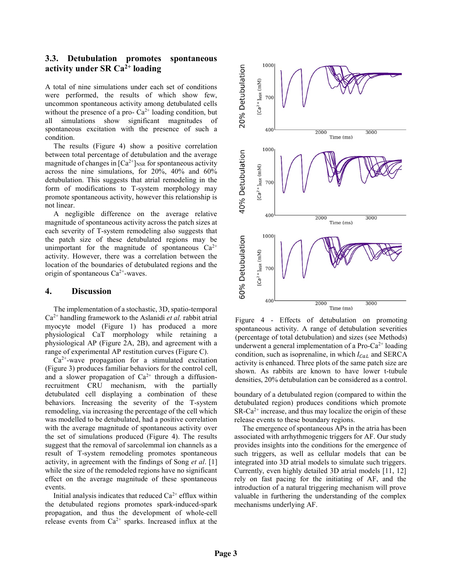# 3.3. Detubulation promotes spontaneous activity under SR  $Ca<sup>2+</sup>$  loading

A total of nine simulations under each set of conditions were performed, the results of which show few, uncommon spontaneous activity among detubulated cells without the presence of a pro- $Ca^{2+}$  loading condition, but all simulations show significant magnitudes of spontaneous excitation with the presence of such a condition.

The results (Figure 4) show a positive correlation between total percentage of detubulation and the average magnitude of changes in  $\lbrack Ca^{2+} \rbrack_{\text{NSR}}$  for spontaneous activity across the nine simulations, for 20%, 40% and 60% detubulation. This suggests that atrial remodeling in the form of modifications to T-system morphology may promote spontaneous activity, however this relationship is not linear.

A negligible difference on the average relative magnitude of spontaneous activity across the patch sizes at each severity of T-system remodeling also suggests that the patch size of these detubulated regions may be unimportant for the magnitude of spontaneous  $Ca^{2+}$ activity. However, there was a correlation between the location of the boundaries of detubulated regions and the origin of spontaneous  $Ca^{2+}$ -waves.

## 4. Discussion

The implementation of a stochastic, 3D, spatio-temporal  $Ca<sup>2+</sup>$  handling framework to the Aslanidi *et al.* rabbit atrial myocyte model (Figure 1) has produced a more physiological CaT morphology while retaining a physiological AP (Figure 2A, 2B), and agreement with a range of experimental AP restitution curves (Figure C).

 $Ca<sup>2+</sup>$ -wave propagation for a stimulated excitation (Figure 3) produces familiar behaviors for the control cell, and a slower propagation of  $Ca^{2+}$  through a diffusionrecruitment CRU mechanism, with the partially detubulated cell displaying a combination of these behaviors. Increasing the severity of the T-system remodeling, via increasing the percentage of the cell which was modelled to be detubulated, had a positive correlation with the average magnitude of spontaneous activity over the set of simulations produced (Figure 4). The results suggest that the removal of sarcolemmal ion channels as a result of T-system remodeling promotes spontaneous activity, in agreement with the findings of Song et al. [1] while the size of the remodeled regions have no significant effect on the average magnitude of these spontaneous events.

Initial analysis indicates that reduced  $Ca^{2+}$  efflux within the detubulated regions promotes spark-induced-spark propagation, and thus the development of whole-cell release events from  $Ca^{2+}$  sparks. Increased influx at the



Figure 4 - Effects of detubulation on promoting spontaneous activity. A range of detubulation severities (percentage of total detubulation) and sizes (see Methods) underwent a general implementation of a Pro-Ca<sup>2+</sup> loading condition, such as isoprenaline, in which  $I_{Cal}$  and SERCA activity is enhanced. Three plots of the same patch size are shown. As rabbits are known to have lower t-tubule densities, 20% detubulation can be considered as a control.

boundary of a detubulated region (compared to within the detubulated region) produces conditions which promote  $SR-Ca^{2+}$  increase, and thus may localize the origin of these release events to these boundary regions.

The emergence of spontaneous APs in the atria has been associated with arrhythmogenic triggers for AF. Our study provides insights into the conditions for the emergence of such triggers, as well as cellular models that can be integrated into 3D atrial models to simulate such triggers. Currently, even highly detailed 3D atrial models [11, 12] rely on fast pacing for the initiating of AF, and the introduction of a natural triggering mechanism will prove valuable in furthering the understanding of the complex mechanisms underlying AF.